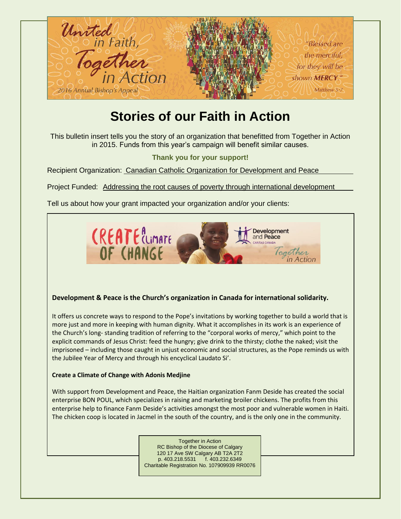

## **Stories of our Faith in Action**

This bulletin insert tells you the story of an organization that benefitted from Together in Action in 2015. Funds from this year's campaign will benefit similar causes.

**Thank you for your support!**

Recipient Organization: Canadian Catholic Organization for Development and Peace

Project Funded: Addressing the root causes of poverty through international development

Tell us about how your grant impacted your organization and/or your clients:



## **Development & Peace is the Church's organization in Canada for international solidarity.**

It offers us concrete ways to respond to the Pope's invitations by working together to build a world that is more just and more in keeping with human dignity. What it accomplishes in its work is an experience of the Church's long- standing tradition of referring to the "corporal works of mercy," which point to the explicit commands of Jesus Christ: feed the hungry; give drink to the thirsty; clothe the naked; visit the imprisoned – including those caught in unjust economic and social structures, as the Pope reminds us with the Jubilee Year of Mercy and through his encyclical Laudato Si'.

## **Create a Climate of Change with Adonis Medjine**

With support from Development and Peace, the Haitian organization Fanm Deside has created the social enterprise BON POUL, which specializes in raising and marketing broiler chickens. The profits from this enterprise help to finance Fanm Deside's activities amongst the most poor and vulnerable women in Haiti. The chicken coop is located in Jacmel in the south of the country, and is the only one in the community.

> Together in Action RC Bishop of the Diocese of Calgary 120 17 Ave SW Calgary AB T2A 2T2 p. 403.218.5531 f. 403.232.6349 Charitable Registration No. 107909939 RR0076